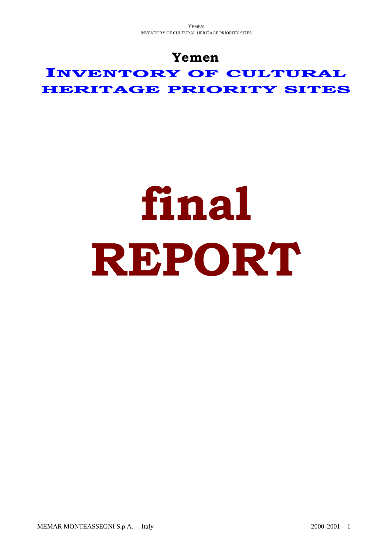## **Yemen**

**INVENTORY OF CULTURAL HERITAGE PRIORITY SITES**

# **final REPORT**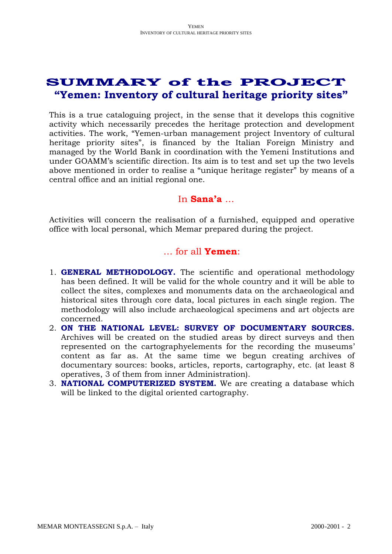### **SUMMARY of the PROJECT "Yemen: Inventory of cultural heritage priority sites"**

This is a true cataloguing project, in the sense that it develops this cognitive activity which necessarily precedes the heritage protection and development activities. The work, "Yemen-urban management project Inventory of cultural heritage priority sites", is financed by the Italian Foreign Ministry and managed by the World Bank in coordination with the Yemeni Institutions and under GOAMM's scientific direction. Its aim is to test and set up the two levels above mentioned in order to realise a "unique heritage register" by means of a central office and an initial regional one.

#### In **Sana'a** …

Activities will concern the realisation of a furnished, equipped and operative office with local personal, which Memar prepared during the project.

#### … for all **Yemen**:

- 1. **GENERAL METHODOLOGY.** The scientific and operational methodology has been defined. It will be valid for the whole country and it will be able to collect the sites, complexes and monuments data on the archaeological and historical sites through core data, local pictures in each single region. The methodology will also include archaeological specimens and art objects are concerned.
- 2. **ON THE NATIONAL LEVEL: SURVEY OF DOCUMENTARY SOURCES.** Archives will be created on the studied areas by direct surveys and then represented on the cartographyelements for the recording the museums' content as far as. At the same time we begun creating archives of documentary sources: books, articles, reports, cartography, etc. (at least 8 operatives, 3 of them from inner Administration).
- 3. **NATIONAL COMPUTERIZED SYSTEM.** We are creating a database which will be linked to the digital oriented cartography.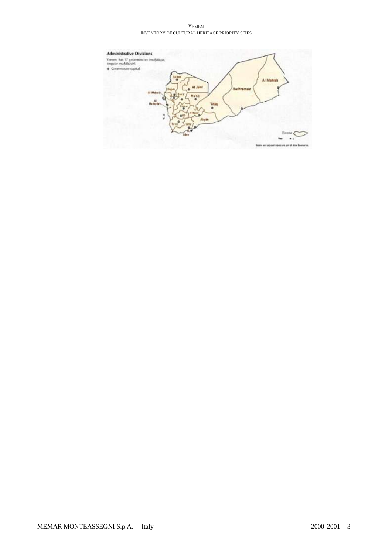YEMEN INVENTORY OF CULTURAL HERITAGE PRIORITY SITES

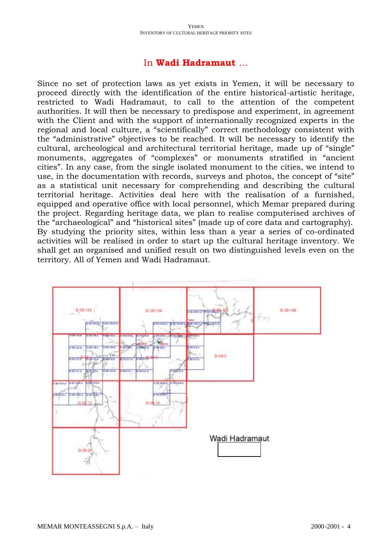#### In **Wadi Hadramaut** …

Since no set of protection laws as yet exists in Yemen, it will be necessary to proceed directly with the identification of the entire historical-artistic heritage, restricted to Wadi Hadramaut, to call to the attention of the competent authorities. It will then be necessary to predispose and experiment, in agreement with the Client and with the support of internationally recognized experts in the regional and local culture, a "scientifically" correct methodology consistent with the "administrative" objectives to be reached. It will be necessary to identify the cultural, archeological and architectural territorial heritage, made up of "single" monuments, aggregates of "complexes" or monuments stratified in "ancient cities". In any case, from the single isolated monument to the cities, we intend to use, in the documentation with records, surveys and photos, the concept of "site" as a statistical unit necessary for comprehending and describing the cultural territorial heritage. Activities deal here with the realisation of a furnished, equipped and operative office with local personnel, which Memar prepared during the project. Regarding heritage data, we plan to realise computerised archives of the "archaeological" and "historical sites" (made up of core data and cartography). By studying the priority sites, within less than a year a series of co-ordinated activities will be realised in order to start up the cultural heritage inventory. We shall get an organised and unified result on two distinguished levels even on the territory. All of Yemen and Wadi Hadramaut.